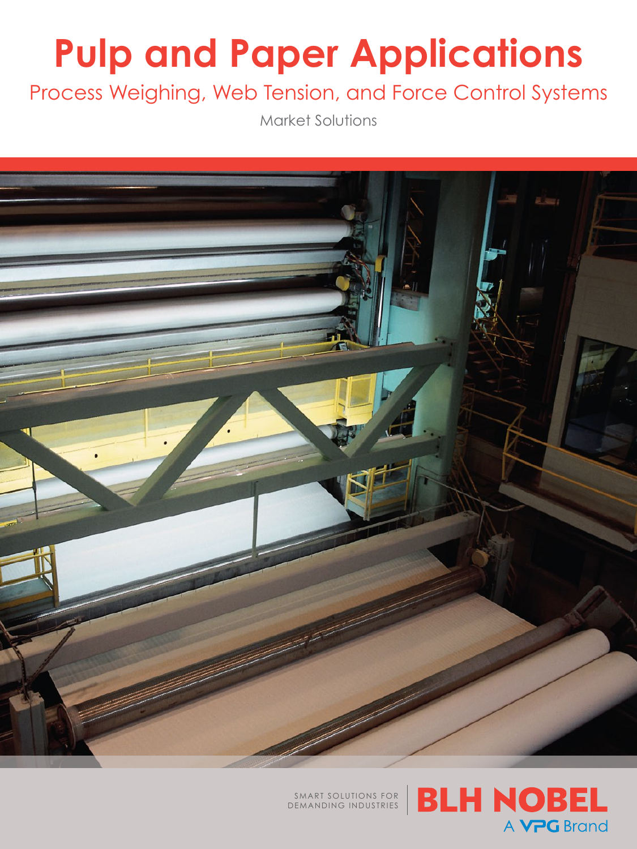# **Pulp and Paper Applications**

# Process Weighing, Web Tension, and Force Control Systems

Market Solutions



SMART SOLUTIONS FOR DEMANDING INDUSTRIES

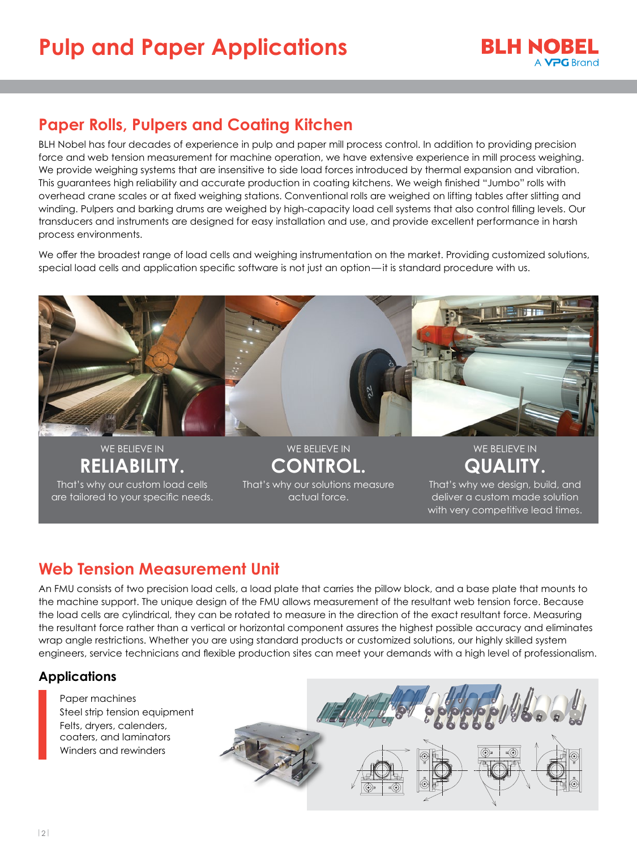

# **Paper Rolls, Pulpers and Coating Kitchen**

BLH Nobel has four decades of experience in pulp and paper mill process control. In addition to providing precision force and web tension measurement for machine operation, we have extensive experience in mill process weighing. We provide weighing systems that are insensitive to side load forces introduced by thermal expansion and vibration. This guarantees high reliability and accurate production in coating kitchens. We weigh finished "Jumbo" rolls with overhead crane scales or at fixed weighing stations. Conventional rolls are weighed on lifting tables after slitting and winding. Pulpers and barking drums are weighed by high-capacity load cell systems that also control filling levels. Our transducers and instruments are designed for easy installation and use, and provide excellent performance in harsh process environments.

We offer the broadest range of load cells and weighing instrumentation on the market. Providing customized solutions, special load cells and application specific software is not just an option—it is standard procedure with us.



WE BELIEVE IN **RELIABILITY.** That's why our custom load cells are tailored to your specific needs.

WE BELIEVE IN **CONTROL.** That's why our solutions measure actual force.

**QUALITY.** That's why we design, build, and deliver a custom made solution with very competitive lead times.

# **Web Tension Measurement Unit**

An FMU consists of two precision load cells, a load plate that carries the pillow block, and a base plate that mounts to the machine support. The unique design of the FMU allows measurement of the resultant web tension force. Because the load cells are cylindrical, they can be rotated to measure in the direction of the exact resultant force. Measuring the resultant force rather than a vertical or horizontal component assures the highest possible accuracy and eliminates wrap angle restrictions. Whether you are using standard products or customized solutions, our highly skilled system engineers, service technicians and flexible production sites can meet your demands with a high level of professionalism.

### **Applications**

Paper machines Steel strip tension equipment Felts, dryers, calenders, coaters, and laminators Winders and rewinders

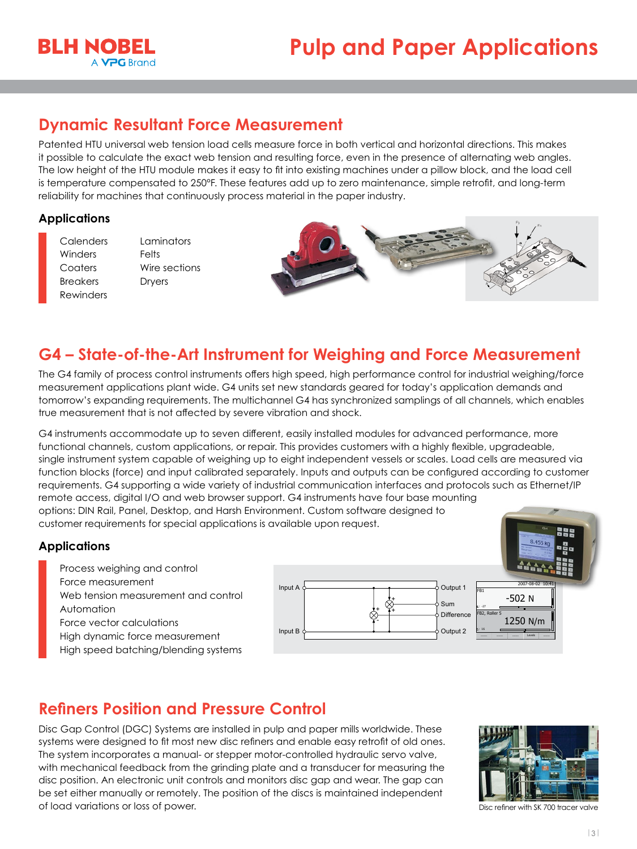

# **Dynamic Resultant Force Measurement**

Patented HTU universal web tension load cells measure force in both vertical and horizontal directions. This makes it possible to calculate the exact web tension and resulting force, even in the presence of alternating web angles. The low height of the HTU module makes it easy to fit into existing machines under a pillow block, and the load cell is temperature compensated to 250°F. These features add up to zero maintenance, simple retrofit, and long-term reliability for machines that continuously process material in the paper industry.

#### **Applications**

- **Calenders Winders Coaters** Breakers Rewinders
- Laminators Felts Wire sections Dryers



# **G4 – State-of-the-Art Instrument for Weighing and Force Measurement**

The G4 family of process control instruments offers high speed, high performance control for industrial weighing/force measurement applications plant wide. G4 units set new standards geared for today's application demands and tomorrow's expanding requirements. The multichannel G4 has synchronized samplings of all channels, which enables true measurement that is not affected by severe vibration and shock.

G4 instruments accommodate up to seven different, easily installed modules for advanced performance, more functional channels, custom applications, or repair. This provides customers with a highly flexible, upgradeable, single instrument system capable of weighing up to eight independent vessels or scales. Load cells are measured via function blocks (force) and input calibrated separately. Inputs and outputs can be configured according to customer requirements. G4 supporting a wide variety of industrial communication interfaces and protocols such as Ethernet/IP remote access, digital I/O and web browser support. G4 instruments have four base mounting options: DIN Rail, Panel, Desktop, and Harsh Environment. Custom software designed to customer requirements for special applications is available upon request.

#### **Applications**

Process weighing and control Force measurement Web tension measurement and control Automation Force vector calculations High dynamic force measurement High speed batching/blending systems



# **Refiners Position and Pressure Control**

Disc Gap Control (DGC) Systems are installed in pulp and paper mills worldwide. These systems were designed to fit most new disc refiners and enable easy retrofit of old ones. The system incorporates a manual- or stepper motor-controlled hydraulic servo valve, with mechanical feedback from the grinding plate and a transducer for measuring the disc position. An electronic unit controls and monitors disc gap and wear. The gap can be set either manually or remotely. The position of the discs is maintained independent of load variations or loss of power.



Disc refiner with SK 700 tracer valve